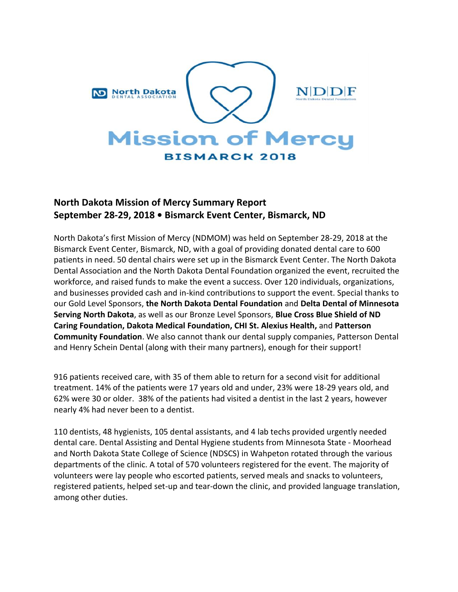

## **North Dakota Mission of Mercy Summary Report September 28-29, 2018 • Bismarck Event Center, Bismarck, ND**

North Dakota's first Mission of Mercy (NDMOM) was held on September 28-29, 2018 at the Bismarck Event Center, Bismarck, ND, with a goal of providing donated dental care to 600 patients in need. 50 dental chairs were set up in the Bismarck Event Center. The North Dakota Dental Association and the North Dakota Dental Foundation organized the event, recruited the workforce, and raised funds to make the event a success. Over 120 individuals, organizations, and businesses provided cash and in-kind contributions to support the event. Special thanks to our Gold Level Sponsors, **the North Dakota Dental Foundation** and **Delta Dental of Minnesota Serving North Dakota**, as well as our Bronze Level Sponsors, **Blue Cross Blue Shield of ND Caring Foundation, Dakota Medical Foundation, CHI St. Alexius Health,** and **Patterson Community Foundation**. We also cannot thank our dental supply companies, Patterson Dental and Henry Schein Dental (along with their many partners), enough for their support!

916 patients received care, with 35 of them able to return for a second visit for additional treatment. 14% of the patients were 17 years old and under, 23% were 18-29 years old, and 62% were 30 or older. 38% of the patients had visited a dentist in the last 2 years, however nearly 4% had never been to a dentist.

110 dentists, 48 hygienists, 105 dental assistants, and 4 lab techs provided urgently needed dental care. Dental Assisting and Dental Hygiene students from Minnesota State - Moorhead and North Dakota State College of Science (NDSCS) in Wahpeton rotated through the various departments of the clinic. A total of 570 volunteers registered for the event. The majority of volunteers were lay people who escorted patients, served meals and snacks to volunteers, registered patients, helped set-up and tear-down the clinic, and provided language translation, among other duties.